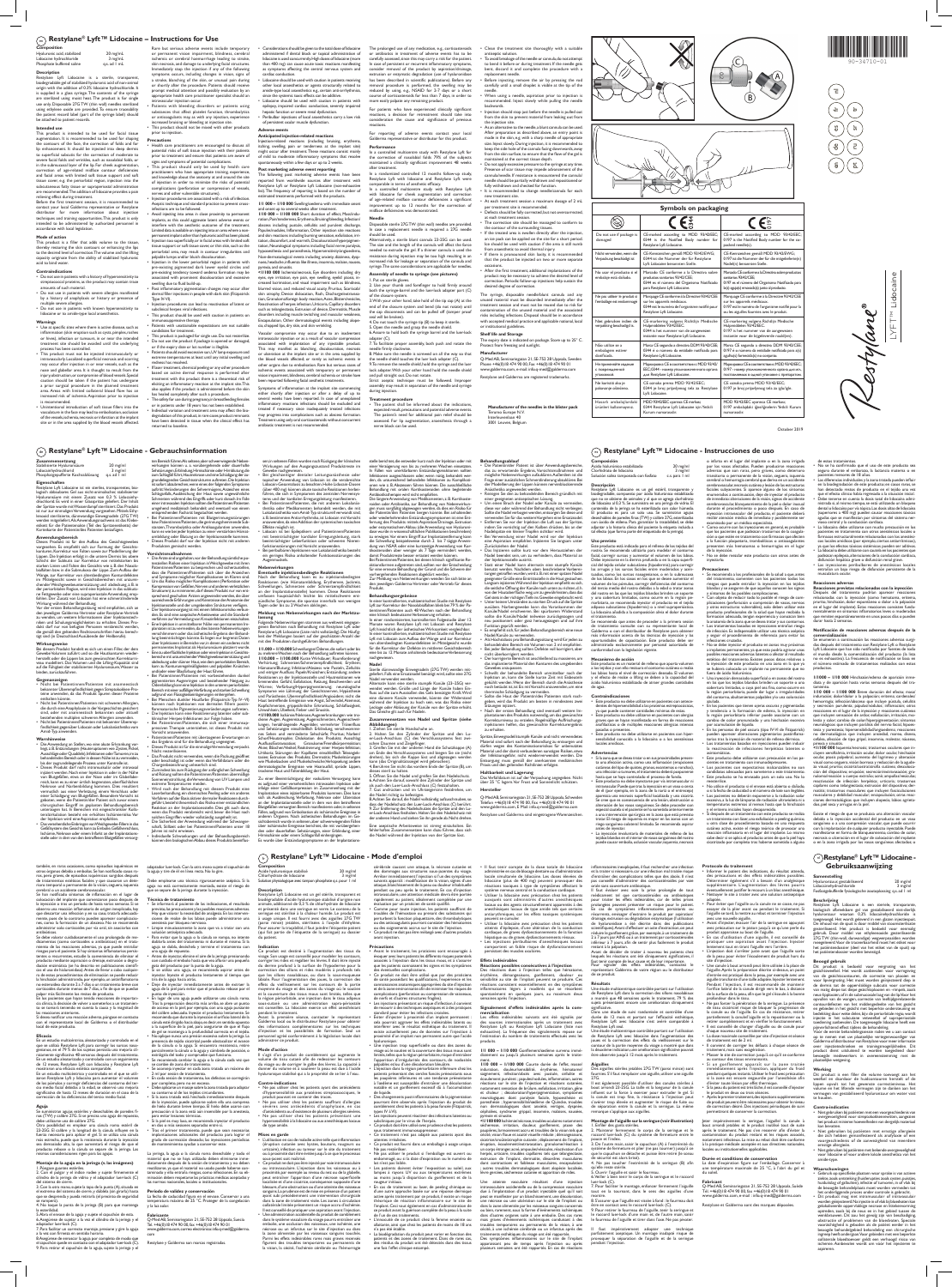October 2019

## $\widehat{C_{\mathsf{e}}}$  Restylane® Lyft™ Lidocaine - Gebrauchsinformation **Restylane®** Lyft™ Lidocaine - Instrucciones de uso

**Manufacturer of the needles in the blister pack**  Terumo Europe N.V.

Interleuvenlaan 40 3001 Leuven, Belgium

## $\binom{2}{e n}$  Restylane® Lyft™ Lidocaine – Instructions for Use

# **Composition**

| Hyaluronic acid, stabilized | 20 mg/mL         |
|-----------------------------|------------------|
| Lidocaine hydrochloride     | 3 mg/mL          |
| Phosphate buffered saline   | $q.s.$ ad $l$ mL |

## **Description**

Restylane Lyft Lidocaine is a sterile, transparent, biodegradable gel of stabilized hyaluronic acid of non-animal origin with the addition of 0.3% lidocaine hydrochloride. It is supplied in a glass syringe. The contents of the syringe are sterilized using moist heat. The product is for single use only. Disposable 27G TW (thin wall) needles sterilized using ethylene oxide are provided. To ensure traceability the patient record label (part of the syringe label) should be attached to patient records.

Before the first treatment session, it is recommended to contact your local Galderma representative or Restylane distributor for more information about injection techniques and training opportunities. This product is only intended to be administered by authorized personnel in cordance with local legislation

## **Intended use**

This product is intended to be used for facial tissue augmentation. It is recommended to be used for shaping the contours of the face, the correction of folds and for lip enhancement. It should be injected into deep dermis to superficial subcutis for the correction of moderate to severe facial folds and wrinkles, such as nasolabial folds, or in the submucosal layer of the lip. For cheek augmentation, correction of age-related midface contour deficiencies and facial areas with limited soft tissue support and soft tissue cover, e.g. the periorbital region, injection into the subcutaneous fatty tissue or supraperiostal administration are recommended. The addition of lidocaine provides a pain relieving effect during treatment.

Rare but serious adverse events include temporary or permanent vision impairment, blindness, cerebral ischemia or cerebral haemorrhage leading to stroke, skin necrosis, and damage to underlying facial structures. Immediately stop the injection if any of the following oms occurs, including changes in vision, signs of a stroke, blanching of the skin, or unusual pain during or shortly after the procedure. Patients should receive prompt medical attention and possibly evaluation by an appropriate health care practitioner specialist should an mandar injection occur.<br>scular injection occur. Patients with bleeding disorders or patients using

cardiac conduction.<br>Cardiac conduction

## **Mode of action**

This product is a filler that adds volume to the tissue, thereby restoring the skin contours or enhancing the lips to the desired level of correction. The volume and the lifting capacity originate from the ability of stabilized hyaluronic acid to bind water.

## **Contraindications**

• Do not use in patients with a history of hypersensitivity to streptococcal proteins, as the product may contain trace amounts of such material.

• Do not use in patients with severe allergies manifested by a history of anaphylaxis or history or presence of ...................<br>multinle severe allergies.

• Do not use in patients with known hypersensitivity to lidocaine or to amide-type local anaesthetics.

## **Warnings**

**Zusa** 

• Use at specific sites where there is active disease, such as inflammation (skin eruption such as cysts, pimples, rashes or hives), infection or tumours, in or near the intended thent site should be avoided until the underlying process has been controlled. • This product must not be injected intramuscularly or

intravascularly. Localized superficial necrosis and scarring may occur after injection in or near vessels, such as the nose and glabellar area. It is thought to result from the injury, obstruction, or compromise of blood vessels. Special caution should be taken if the patient has undergone a prior surgical procedure in the planned treatment area. Areas with limited collateral blood flow has an increased risk of ischemia. Aspiration prior to injection is recommended.

• Unintentional introduction of soft tissue fillers into the vasculature in the face may lead to embolisation, occlusion of the vessels, ischemia, necrosis or infarction at the implant site or in the area supplied by the blood vessels affected.

substances that affect platelet function, thrombolytics or anticoagulants may, as with any injection, experience increased bruising or bleeding at injection site. • This product should not be mixed with other products prior to injection.

**Precautions** • Health care practitioners are encouraged to discuss all potential risks of soft tissue injection with their patients prior to treatment and ensure that patients are aware of signs and symptoms of potential complications. • This product should only be used by health care practitioners who have appropriate training, experience, and knowledge about the anatomy at and around the site of injection in order to minimize the risks of potential complications (perforation or compression of vessels,

nerves and other vulnerable structures). • Injection procedures are associated with a risk of infection. Aseptic technique and standard practice to prevent crossinfections are to be followed.

• Avoid injecting into areas in close proximity to permanent implants, as this could aggravate latent adverse events or interfere with the aesthetic outcome of the treatment. Limited data is available on injecting into an area where a non-permanent implant other than hyaluronic acid has been placed. • Injection too superficially, or in facial areas with limited soft tissue support or soft tissue cover, or thin skin, such as the periorbital area, may result in contour irregularities and

The safety for use during pregnancy, in breastfeeding females or in patients under 18 years has not been established. • Individual variation and treatment area may affect the biodegradation of this product, in rare cases product remnants have been detected in tissue when the clinical effect has returned to baseline. several weeks have been reported. In case of unexplaint inflammatory reactions infections should be excluded and treated if necessary since inadequately treated infections may progress into complications such as abscess formation. Treatment using only oral corticosteroids without concurrent

palpable lumps and/or bluish discolouration. tion in the lower periorbital region in patients with pre-existing pigmented dark lower eyelid circles and ency toward oedema formation may be associated with prominent discolouration and excessive swelling due to fluid build-up. • Post inflammatory pigmentation changes may occur after For patients who have experienced clinically significant reactions, a decision for retreatment should take into consideration the cause and significance of previous actions

njection-related reactions (including bruising, erythema itching, swelling, pain or tenderness at the implant site) night occur after treatment. These reactions consist mainly For reporting of adverse events contact your local Galderma representative or distributor for this product. **Performance**

dermal filler injections in people with dark skin (Fitzpatrick Type IV-VI). Injection procedures can lead to reactivation of latent or subclinical herpes viral infections. • This product should be used with caution in patients on

In a controlled multicentre study with Restylane Lyft for the correction of nasolabial folds 79% of the subjects ined a clinically significant improvement 48 weeks after treatment. In a randomized controlled 12 months follow-up study,

immunosuppressive therapy. • Patients with unattainable expectations are not suitable candidates for treatment. • This product is packaged for single use. Do not resterilize.

• Do not use the product if package is opened or damaged, or if the expiry date or lot number is illegible. Patients should avoid excessive sun, UV lamp exposure and extreme temperatures at least until any initial swelling and

redness has resolved. If laser treatment, chemical peeling or any other procedure based on active dermal response is performed after treatment with this product there is a theoretical risk of eliciting an inflammatory reaction at the implant site. Thi also applies if the product is administered before the skin has healed completely after such a procedure.

> • The patient shall be informed about the indications expected result, precautions and potential adverse event The patient's need for additional pain relief should be assessed. For lip augmentation, anaesthesia through a nerve block can be used.

aktionsformen aufgetreten sind, sollten vor der Entscheidung<br>für eine erneute Behandlung der Grund und die Schwere der für eine erneute Behandlung der Grund und die Schwere der<br>vorhergehenden Reaktionen abgeklärt werden.<br>Zur Meldung von Nebenwirkungen wenden Sie sich bitte an<br>den jeweiligen Galderma-Vertreter oder Vertrieb für dieses<br>Produ

In einer kontrollierten, multizentrischen Studie mit Restylane<br>Lyft zur Korrektur der Nasolabialfalten blieb bei 79 % der Pa-Lyft zur Korrektur der Nasolabiafalten blieb bei 79 % der Pa-<br>tientinnen/Patienten auch 48 Wochen nach der Behandlung<br>eine klinisch bedeutsame Verbesserung erhalten.<br>In einer randomisierten, kontrollierten Folgestudie über

hepatic function or severe renal dysfunction. • Peribulbar injections of local anaesthetics carry a low risk

of persistent ocular muscle dysfunction.

**Adverse events**

**Anticipated injection-related reactions**

product may be necessary to achieve the desired level of correction. Periodic follow-up injections help sustain the red degree of correctio

of mild to moderate inflammatory symptoms that resolve pontaneously within a few days or up to 2 weeks. **Post marketing adverse event reporting** The following post marketing adverse events have been<br>reported from worldwide sources after treatment with worldwide sources after treatment with Restylane Lyft or Restylane Lyft Lidocaine (non-exhaustive list). The frequency of reporting is based on the number of estimated treatments performed with the products. **1/1 000 – 1/10 000** Swelling/oedema with immediate onset and onset up to several weeks after treatment. **1/10 000 – 1/100 000** Short duration of effect, Mass/induration, Pain/tenderness, Erythema, Bruising/bleeding, Infection/ abscess including pustule, cellulitis and purulent discharge, Papules/nodules, Inflammation, Other injection site reactions and skin reactions including burning sensation, exfoliation, irritation, discomfort, and warmth, Discolouration/hyperpigmentation, Neurological symptoms including facial nerve paralysis, hypoaesthesia and paraesthesia, Hypersensitivity/angioedema, Non-dermatological events including anxiety, dizziness, dyspnoea, headache, influenza like illness, insomnia, malaise, nausea,

pyrexia, and sinusitis.

• Considerations should be given to the total dose of lidocaine administered if dental block or topical administration of lidocaine is used concurrently. High doses of lidocaine (more than 400 mg) can cause acute toxic reactions manifesting as symptoms affecting the central nervous system and Lidocaine should be used with caution in patients receiving other local anaesthetics or agents structurally related to amide-type local anaesthetics e.g., certain anti-arrhythmics, since the systemic toxic effects can be additive. Lidocaine should be used with caution in patients with epilepsy, impaired cardiac conduction, severely impaired The prolonged use of any medication, e.g., corticosteroids or antibiotics in treatment of adverse events has to be carefully assessed, since this may carry a risk for the patient. In case of persistent or recurrent inflammatory symptoms, consider removal of the product by aspiration/drainage or enzymatic degradation (use of hyaluronidase has been described in scientific publications). Before any removal procedure is performed, the swelling may be reduced by using, e.g., NSAID for 2-7 days or a short course of corticosteroids for less than 7 days, in order to more easily palpate any remaining product.

**<1/100 000** Ischemia/necrosis, Eye disorders including dry eyes, eye irritation, eye pain, eye swelling, eyelid ptosis, increased lacrimation, and visual impairment such as blindness, blurred vision, and reduced visual acuity, Pruritus, Scar/scab/ skin atrophy, Device dislocation, Rash, Discharge/extravasation, Granuloma/foreign body reaction, Acne, Blisters/vesicles, Reactivation of herpes infection, Urticaria, Capillary disorders such as telangiectasia, Extrusion of device, Dermatitis, Muscle disorders including muscle twitching and muscular weakness, Encapsulation, Other dermatological events including alopecia, chapped lips, dry skin, and skin wrinkling.

schemic events associated with temporary or permanent

either shortly after injection or after a delay of up to

ent is not recommended.

 **Gebruiksaanwijzing** ∩ Restylane® Lyft™ Lidocaine -

Stabilisierte Hyaluronsäure 20 mg/m<br>Lidocainhydrochlorid 3 mg/m Lidocainhydrochlorid 3 mg/ml Phosphatgepufferte Kochsalzlösung q.s. ad 1 ml

ensenareen<br>tylane Lyft Lidocaine ist ein steriles, transparentes, biologisch abbaubares Gel aus nicht-animalischer, stabilisierter Hyaluronsäure mit einem Zusatz von 0,3 % Lidocainhydrochlorid. Es wird in einer Glasspritze geliefert. Der Inhalt der Spritze wurde mit Wasserdampf sterilisiert. Das Produkt ist nur zur einmaligen Verwendung vorgesehen. Mittels Ethy-<br>lenoxid sterilisierte, dünnwandige Einwegnadeln (27G TW)<br>werden mitgeliefert. Als Anwendungsnachweis ist das Klebe-<br>etikett für die Patientenakte (Teil des Spritz Karteikarte der Patientin/des Patienten beizufügen.

**Anwendungsbereich**<br>Dieses Produkt ist für den Aufbau des Gesichtsgewebes<br>vorgesehen. Es empfiehlt sich zur Formung der Gesichts-<br>konturen, Korrektur von Falten sowie zur Modellierung der Lippen. Die Injektion erfolgt in die untere Dermis bis obere Schicht der Subkutis zur Korrektur von mittelstarken bis<br>starken Linien und Falten des Gesichts wie z. B. den Nasola-

starken Linien und Falten des Gesichts wie z. B. den Nasola-bialfalten bzw. in die Submukosa der Lippe. Zum Aufbau der Wange, zur Korrektur von altersbedingten Konturdefekten<br>im Mittelgesicht sowie in Gesichtsbereichen mit

been reported following facial aesthetic treatments.

• Nicht bei Patientinnen/Patienten mit schweren Allergien, die durch eine Anaphylaxie in der Vorgeschichte gesichert sind, oder mit anamnestisch bekannten oder aktuell bestehenden multiplen schweren Allergien anwenden. • Nicht bei Patientinnen/Patienten mit bekannter Überempfindlichkeit gegenüber Lidocain oder Lokalanäst Amid-Typ a

Vascular compromise may occur due to an inadvertent intravascular injection or as a result of vascular compression associated with implantation of any injectable product. adapter (C). 7. To facilitate proper assembly, both push and rotate the needle firmly clockwise.

This may manifest as blanching, discolouration, necrosis or ulceration at the implant site or in the area supplied by the blood vessels affected; or rarely as ischemic events in other organs due to embolisation. Rare but serious cases of vision impairment, blindness, cerebral ischemia or stroke have 8. Make sure the needle is screwed on all the way so that the needle shield touches the luer lock adapter (C). 9. To remove the needle shield, hold the syringe and the luer lock adapter. With your other hand hold the needle shield and pull straight out. Do not rotate.

Restylane Lyft with lidocaine and Restylane Lyft were comparable in terms of aesthetic efficacy. In a controlled multicentre study with Restylane Lyft with lidocaine for cheek augmentation and correction

Symptoms of inflammation at the implant site commencing Strict aseptic technique must be followed. Improper assembly may result in separation of the needle and syringe during injection.

of age-related midface contour deficiencies a significant improvement up to 12 months for the correction of midface deficiencies was demonstrated.

entsprechenden Facharzt begutachtet werden.<br>• Bei Patientinnen/Patienten mit Blutgerinnungsstörungen<br>• bzw.Patientinnen/Patienten, die gerinnungshemmende Sub-<br>• stanzen, Thrombolytika oder Antikoagulantien anwenden,<br>kann e ombildung oder Blutung an der Injektionsstelle kommen. • Dieses Produkt darf vor der Injektion nicht mit anderen Produkten gemischt werden.

**Needle** Disposable sterile 27G TW (thin wall) needles are provided. In case a replacement needle is required a 27G needle

should be used. Alternatively, a sterile blunt cannula 23-25G can be used. The size and the length of the cannula will affect the force needed to extrude the gel. If a thinner cannula is used the resistance during injection may be too high resulting in an increased risk for leakage or separation of the cannula and syringe. The same considerations are applicable for needles.

**Assembly of needle to syringe (see pictures)**

1. Put on sterile gloves. 2. Use your thumb and forefinger to hold firmly around both the syringe-barrel and the luer-lock adapter part (C) of the closure system. 3. With your other hand, take hold of the tip cap (A) at the end of the closure system and bend (do not rotate) until the cap disconnects and can be pulled off (tamper proof

seal will be broken). 4. Do not touch the syringe tip (B) to keep it sterile. 5. Open the needle and grasp the needle shield. 6. Assure to hold both the syringe barrel and the luer-lock

abdeckung oder dünner Haut, wie dem periorbitale kann zu Konturunregelmäßigkeiten und palpablen Knötchen und/oder einer Blaufärbung der Haut führen. • Bei Patientinnen/Patienten mit vorbestehenden dunkel<br>pigmentierten Augenringen und bestehender Neigung zu<br>Ödembildung kann eine Injektion in den unteren periorbitalen<br>Bereich mit einer auffälligenVerfärbung und starken S aufgrund von Flüssigkeitseinlagerungen einhergehen. • Bei Menschen dunkler Hautfarbe (Fitzpatrick-Typ IV–VI) können nach Injektionen von dermalen Fillern postinflammatorische Pigmentierungsveränderungen auftreten. • Die Injektion kann eine Reaktivierung latenter oder subklinischer Herpes-Infektionen zur Folge haben. • Bei Patientinnen/Patienten, die sich einer immunsup-pressiven Therapie unterziehen, ist dieses Produkt mit Vorsicht anzuwenden. • Patientinnen/Patienten mit überzogenen Erwartungen an das Ergebnis sind für die Behandlung ungeeignet. • Dieses Produkt ist für die einmalige Verwendung verpackt. Nicht resterilisieren. • Das Produkt nicht verwenden, wenn die Packung geöffnet oder beschädigt ist oder wenn das Verfalldatum oder die Chargenbezeichnung unleserlich sind.

dest bis zum Rückgang der anfänglichen Schwellung und Rötung sollten die Patientinnen/Patienten übermäßige

• Wird nach der Behandlung mit diesem Produkt eine<br>Laserbehandlung ein chemisches Peeling oder ein anderes<br>Verfahren auf der Basis aktiver dermaler Reaktionen durch-<br>geführt, besteht theoretisch das Risiko einer entzündlic

, .<br>na aguja de repuesto.

strahlung, die Verwendung von UV Lampen und extreme Temperaturen meiden.

### **Treatment procedure**

tems und der kardialen Erregungsleitung manifestieren. • Bei Patientinnen/Patienten, die mit anderen Lokalanäs-Die längere Anwendung von Medikanenten, z. B. Kortikoste-<br>orieien oder Antibiotika, zur Behandlung von Nebenwirkungen muss sorgfältig abgewogen werden, da dies ein Risiko für<br>die Patientin/den Patienten bergen könnte. Bei

• Clean the treatment site thoroughly with a suitable antiseptic solution. • To avoid breakage of the needle or cannula, do not attempt to bend it before or during treatment. If the needle gets bent, discard it and complete the procedure with a replacement needle. • Before injecting, remove the air by pressing the rod carefully until a small droplet is visible at the tip of the

mit beeinträchtigter kardialer Erregungsleitung, stark die Schwellung beispielsweise durch 2 bis 7 tägige Anwendung von Kort<br>dung von NSAR oder eine kurtzeitige Anwendung von Kort<br>tikosteroiden über weniger als 7 Tage vermindert werden,<br>damit Produktreste besser ertastet werde

needle. • When using a needle, aspiration prior to injection is on<br>ded. Inject slowly while pulling the needle backwards. • Injection should stop just before the needle is pulled out

Nebenwirkungen<br>Eventuelle injektionsbedingte Reaktionen<br>Nach der Behandlung kann es zu injektionsbedingten<br>Reaktionen (wie Hämatombildung, Erythemen, Juckreiz,<br>Schwellungen, Schmerzen oder Schmerzempfindlichkeit<br>an der Imp umfassen hauptsächlich leichte bis mittelschwere entzündliche Symptome, die spontan innerhalb von wenigen Tagen oder bis zu 2 Wochen abklingen. **Meldung von Nebenwirkungen nach der Marktzu-**

from the skin to prevent material from leaking out from the injection site. • As an alternative to the needle, a blunt cannula can be used.

**lassung**<br>Folgende Nebenwirkungen stammen aus weltweit eingegan-<br>genen Berichten nach Behandlung mit Restylane Lyft oder<br>Restylane Lyft Lidocaine (Liste nicht vollständig). Die Häufigkeit der Meldungen basiert auf der geschätzten Anzahl der mit den Produkten durchgeführten Behandlungen.

After preparation as described above, an entry point is made in the skin, e.g. with a sharp needle of appropriate size. Inject slowly. During injection, it is recommended to keep the side hole of the cannula facing downwards, away from the skin surface, to ensure that the flow of the gel is maintained at the correct tissue depth. • Do not apply excessive pressure to the syringe at any time. Presence of scar tissue may impede advancement of the

cannula/needle. If resistance is encountered the cannula/ needle should be partially withdrawn and repositioned or fully withdrawn and checked for function. • It is recommended to change needle/cannula for each new treatment site.

• At each treatment session a maximum dosage of 2 mL per treatment site is recommended. • Defects should be fully corrected, but not overcorrected,

sich als Ausbleichung, Verfärbung, Nekrose oder Ulzeration an der Implantationsstelle oder in dem von den betroffenen Blutgefäßen versorgten Bereich manifestieren oder, in seltenen Fällen, aufgrund von Embolisation als ischämische Ereignisse in anderen Organen. Nach ästhetischen Behandlungen im Gesichtsbereich wurde in seltenen, aber schwerwiegenden Fällen<br>über ischämische Ereignisse berichtet, die mit vorübergehen-<br>den oder dauerhaften Sehstörungen, einer Erblindung, einer<br>Hirnischämie oder einem Schlaganfall einh

## $\binom{2}{f}$  Restylane<sup>®</sup> Lyft™ Lidocaine - Mode d'emploi

at each treatment session. • The correction site should be massaged to conform to the contour of the surrounding tissues. • If the treated area is swollen directly after the injection, an ice pack can be applied on the site for a short period.

stelle berichtet, die entweder kurz nach der Injektion oder mit einer Verzögerung von bis zu mehreren Wochen einsetzte

Ice should be used with caution if the area is still numb from anaesthetic to avoid thermal injury. • If there is pronounced skin laxity, it is recommended that the product be injected on two or more separate occasions. • After the first treatment, additional implantations of the

The syringe, disposable needle/blunt cannula and any unused material must be discarded immediately after the treatment session and must not be reused due to risk for contamination of the unused material and the associated risks including infections. Disposal should be in accordance with accepted medical practice and applicable national, local or institutional guidelines.

**Shelf life and Storage** The expiry date is indicated on package. Store up to 25° C.

Protect from freezing and sunlight. **Manufacturer** Q-Med AB, Seminariegatan 21, SE-752 28 Uppsala, Sweden

Phone +46(0)18 474 90 00, Fax +46(0)18 474 90 01 www.galderma.com, e-mail: info.q-med@galderma.com Restylane and Galderma are registered trademarks.

LYFT™ Lidocaine

LYFT<sup>TM</sup>

 $\boldsymbol{\mathcal{L}}$ 

ylany

idocaine

Verhärtung: Schmerzen/Schmerzempfindlichkeit; Erythem;<br>Hämatom/Blutung; Infektion/Abszess wie Pusteln, Zellulitis<br>und eitriger Ausfluss; Papeln/Knötchen; Entzündung; andere<br>Reaktionen an der Injektionsstelle und Hautreakti **Nadel** Sterile dünnwandige Einwegnadeln (27G TW) werden mit-geliefert. Falls eine Ersatznadel benötigt wird, sollte eine 27G Nadel verwendet werden. Alternativ kann eine sterile stumpfe Kanüle (23–25G) verwendet werden. Größe und Länge der Kanüle haben Ein-fluss auf die zum Ausstoßen des Gels benötigte Kraft. Wird

Wärme; Verfärbung/Hyperpigmentierung; neurologische<br>Symptome wie Lähmung der Gesichtsnerven, Hypästhesie<br>und Parästhesie; Überempfindlichkeit/Angioödem; nicht die<br>Haut betreffende Ereignisse wie Angst, Schwindel, Atemnot,<br> **Zusammensetzen von Nadel und Spritze (siehe** 

ckene Augen, Augenreizung, Augenschmerzen, Augenschwel-<br>lungen, herabhängende Augenilder, vermehrter Tränenfluss<br>und Sehstörungen einschließlich Erblindung, verschwomme-<br>nes Sehen und verminderte Sehschärfe; Pruritus; Narb Urtikaria; Störungen der Kapillaren einschließlich Teleangiek-tasien; Extrusion des Produkts; Dermatitis; Muskelstörungen wie Muskelzucken und Muskelschwäche; Verkapselung; ander<br>wie Muskelzucken und Muskelschwäche; Verkapselung; ander

Bei Verwendung einer Nadel wird vor der Injektion eine Aspiration empfohlen. Injizieren Sie langsam unter

• Bei jeder Behandlung sollten Defekte voll korrigiert, aber nicht überkorrigiert werden. • Der korrigierte Bereich ist anschließend zu massieren, um das implantierte Material den Konturen des umgebenden Gewebes anzupassen. • Schwillt der behandelte Bereich unmittelbar nach der Injektion an, kann die Stelle kurze Zeit mit Eisbeuteln gekühlt werden. Wenn der Bereich durch die Anästhesie ,<br>10ch betäubt ist, ist Eis mit Vorsicht anzuwenden, um eine

Spritze, Einwegnadel/stumpfe Kanüle und nicht verwendetes Material sind sofort nach der Behandlung zu entsorgen und<br>dürfen wegen des Kontaminationsrisikos für unbenutztes<br>Material und der damit verbundenen sonstigen Risiken, etwa<br>der Infektionsgefahr, nicht wiederverwendet werden

**Symbols on packaging**  $\epsilon$  $\circledast$  $\mathsf{C}\in\mathbb{S}$ CE-marked according to MDD 93/42/EEC Do not use if package CE-marked according to MDD 93/42/EEC; 0344 is the Notified Body number for 0197 is the Notified Body number for the codamaged stylane Lyft Lidocaine. cked needle(s). CE-Kennzeichen gemäß MDD 93/42/EWG; CE-Kennzeichen gemäß MDD 93/42/EWG; Nicht verwenden, wenn d 0197 ist die Nummer der für die mitgelieferte(n) Verpackung beschädigt ist 0344 ist die Nummer der für Restylane Lyft Lidocaine benannten Stelle. Nadel(n) benannten Stelle. No usar el producto si el Marcado CE conforme a la Directiva sobre Marcado CE conforme a la Directiva sobre productos sanitarios 93/42/CEE; productos sanitarios 93/42/CEE; nbalaje está dañado. .<br>0344 es el número del Organismo Notificado 0197 es el número del Organismo Notificado para la(s) aguja(s) envasada(s) junto al producto. para Restylane Lyft Lidocaine. Marquage CE conforme à la Directive 93/42/CEE Ne pas utiliser le produit si Marquage CE conforme à la Directive 93/42/CEE .<br>r les appareils médicaux les appareils médicaux. l'emballage est endommagé 0197 est le numéro de l'organisme notifié pour l 0344 est le numéro de l'organisme notifié po estylane Lyft Lidocaine. ou les aiguilles fournies avec le produit. Niet gebruiken indien de CE-markering volgens Richtlijn Medische Hulpmiddelen 93/42/EEC. CE-markering volgens Richtlijn Medische Hulpmiddelen 93/42/EEC. pakking beschadigd is 0344 is het nummer van de aangewezen 0197 is het nummer van de aangewezen stantie voor Restylane Lyft Lidocaine antie voor de bijgeleverde naald(en) Não utilize se a Marca CE segundo a directiva DDM 93/42/CEE; Marca CE segundo a directiva DDM 93/42/CEE embalagem estiver danificada. 0344 é o número da entidade notificada para Restylane Lyft Lidocaine. 0197 é o número da entidade notificada para a(s) agulha(s) fornecida(s) no conjunto. Маркировка CE в соответствии с MDD 93/42/EEC; Не применяйте издели Маркировка CE в соответствии с MDD 93/42/  $EFC: 0344 - HOMPD$  упс 0197 - номер уполномоченного органа для иг. с поврежденной для Restylane Lyft Lidocaine. поставляемых в одной упаковке с препаратом.<br>В одной упаковке с препара упаковкой. Ne koristiti ako je CE oznaka prema MDD 93/42/EEC; CE oznaka prema MDD 93/42/EEC; 0197 je broj prijavljenog tela za iglu/igle. .<br>0344 je broj prijavljenog tela za Restyla pakovanje oštećeno Lyft Lidocaine. Hasarlı ambalajlardaki MDD 93/42/EEC uyarınca CE markası; MDD 93/42/EEC uyarınca CE markası; ürünleri kullanmayınız. 0344 Restylane Lyft Lidocaine için Yetkili Kurum numarasıdır. 0197 ambalajdaki iğne/iğnelerin Yetkili Kurum numarasıdır.

 $\begin{bmatrix} 0 \\ 0 \end{bmatrix}$ 

 $\left( \overline{B}\right)$ 

**Composition** Acide hyaluronique stabilisé 20 mg/ml Chlorhydrate de lidocaïne 3 mg/m Solution physiologique avec tampon phosphate q.s. pour 1 ml

**Eigenschaften**

**Indication**<br>Ce produit est destiné à l'augmentation des tissus du Ce produit est destiné à l'augmentation des tissus du visage. Son usage est conseillé pour modeler les contours, corriger les rides et regalber les lèvres. Il doit être injecté du derme profond à la surface de l'hypoderme pour la correction des sillons et rides modérés à profonds tels que les sillons nasolabiaux, ou dans la sous-muqueuse labiale. Pour l'augmentation des joues, la correction des effets du vieillissement sur les contours de la partie moyenne du visage et des zones du visage où le soutien et la couverture des tissus mous sont limités, telles que la région périorbitale, une injection dans le tissu adipeux sous-cutané ou une administration supra-périostale est conseillée. La lidocaïne exerce un effet anesthésiant

ant le traitement. Avant la première séance, contacter le représentant Galderma local ou le distributeur Restylane pour obtenir des informations complémentaires sur les techniques d'injection et les possibilités de formation. Seul un premees de commercie conformément à la législation locale doit administrer ce produit. punto de inyección.<br>• En lugar de una aguja puede utilizarse una cánula roma.<br>Tras la preparación descrita más arriba, se abre un punto<br>de acceso en la piel; por ejemplo, con una aguja punzante<br>del calibre adecuado. Inyect recomienda que durante la inyección el orificio lateral de la a la superficie de la piel, para asegurarse de que el flujo<br>de gel se mantenga a la profundidad correcta en el tejido.<br>• No aplique nunca una presión excesiva sobre la jeringa. La<br>presencia de tejido cicatrizal puede obsta

> sous-jacent soit maîtrisé. • Ce produit ne doit pas être injecté par voie intramusculaire ou intravasculaire. L'injection dans les vaisseaux ou à proximité, par exemple au niveau du nez ou de la glabelle,<br>peut entraîner l'apparition d'une nécrose superficielle<br>localisée et d'une cicatrice, conséquence supposée d'une<br>blessure, d'une obstruction ou d'une atteinte des

sanguins. La prudence est de mise en présence d'un patient ayant subi précédemment une intervention chirurgicale dans la zone de traitement visée. Les zones à circulatio collatérale limitée présentent un risque accru d'ischémie.<br>Il lest conseillé de pratiquer une aspiration avant l'injection.<br>• Une administration accidentelle du produit de comblement<br>dans le système vasculaire du visage po

ne Fettgewebe oder eine supraperiostale Anwendung empfohlen. Der Zusatz von Lidocain hat eine schmerzling Wirkung während der Behandlung.<br>Vor der ersten Behandlungssitzung wird empfohlen, sich an<br>den jeweiligen Galderma-Vertreter oder Restylane-Vertrieb<br>zu wenden, um weitere Informationen über Injektionstechniken und Schulungsmöglichkeiten zu erhalten. Dieses Pro-dukt darf nur von befugten Personen verabreicht werden, die gemäß den geltenden Rechtsvorschriften hierzu berech-tigt sind (in Deutschland Ausübende der Heilberufe).

**Wirkungsweise**

Bei diesem Produkt handelt es sich um einen Filler, der dem Gewebe Volumen zuführt und so die Hautkonturen wieder-

ten Bereich führen. Als seltene, aber schwerwiegende Ne wirkungen können u. a. vorübergehende oder dauerhafte Sehstörungen, Erblindung, Hirnischämie oder Hirnblutung, die zum Schlagfall führt, Hautnekrose und eine Schädigung der zu-<br>grundeliegenden Gesichtsstrukturen auftreten. Die Injektior

grundeliegenden Gesichtsstrukturen auftreten. Die Injektion<br>ist sofort abzubrechen, wenn eines der folgenden Symptome<br>auftritt: Veränderungen des Sehvermögens, Anzeichen eines<br>Schlaganfalls, Ausbleichung der Haut sowie ung umgehend medizinisch behandelt und eventuell von einem<br>entsprechenden Facharzt begutachtet werden.

herstellt oder die Lippen bis zum gewünschten Korrekturni-veau modelliert. Das Volumen und die Lifting-Kapazität sind auf die Fähigkeit der stabilisierten Hyaluronsäure, Wasser zu binden, zurückzuführen.

**Gegenanzeigen** • Nicht bei Patientinnen/Patienten mit anamnestisch bekannter Überempfindlichkeit gegen Streptokokken-Pro-teine anwenden, da das Produkt Spuren dieser Proteine enthalten könnte.

> connaissances anatomiques appropriées du site d'injection et de la zone environnante afin de minimiser les risques de complications (perforation ou compression de vaisseaux,<br>de nerfs et d'autres structures fragiles).<br>• Les injections présentant un risque d'infection, il convient<br>de recourir à des techniques aseptiques et à des pratiques<br>s

hyaluronique. • Une injection trop superficielle ou dans des zones du visage où le soutien et la couverture des tissus mous sont limités, telles que la région périorbitaire, risque d'entraîner l'apparition d'irrégularités des contours, de nodosités palpables et/ou d'une décoloration bleuâtre. • L'injection dans la région périorbitaire inférieure chez les<br>patients présentant des cercles foncés préexistants sous<br>les paupières inférieures et une tendance préexistante<br>à l'œdème est susceptible d'entraîner une décol

#### **Warnhinweise**

• Die Anwendung an Stellen, wo eine akute Erkrankung vorliegt, z. B. Entzündungen (Hauteruptionen wie Zysten, Pickel,<br>Ausschläge oder Quaddeln), Infektionen oder Tumoren, im zu<br>behandelnden Bereich oder in dessen Nähe ist zu vermeiden, bis der zugrundeliegende Prozess unter Kontrolle ist. • Dieses Produkt darf nicht intramuskulär oder intravasal

> types IV à VI). rpes 1v a v1).<br>es injections peuvent réactiver des infections latentes ou

> subcliniques par le virus de l'herpès. subclimiques par le virus de riferpes.<br>Ce produit doit être utilisé avec prudence chez les patients us traitement immunosuppresseur.

magé, ou si la date d'expiration ou le numéro de lot n'est pas lisible. • Les patients doivent éviter l'exposition au soleil, aux

injiziert werden. Nach einer Injektion in oder in der Nähe von Blutgefäßen, etwa an der Nase oder im Glabellabereich, kann es zu einer örtlich begrenzten, oberflächlichen Nekrose und Narbenbildung kommen. Dies resultiert vermutlich aus einer Verletzung, einem Verschluss oder<br>einer Schädigung von Blurgefäßen. Besondere Vorsicht ist<br>geboten, wenn die Patientin/der Patient sich zuvor einem<br>chirurgischen Eingriff im geplanten Behandlungsbereic unterzogen hat. In Bereichen mit eingeschränkter Kollateralzirkulation besteht ein erhöhtes Ischämierisiko. Vor der Injektion wird eine Aspiration empfohlen.

• Das versehentliche Einbringen von Weichgewebe-Fillern in das<br>Gefäßystern des Gesichts kann zu Embolie, Gefäßverschluss,<br>Ischämie, Nekrose oder einem Infarkt an der Implantations-<br>stelle oder in dem von den betroffenen Bl

La biodégradation du produit peut varier en fonction des patients et des zones de traitement. Dans de rares cas, des résidus du produit ont été détectés dans des tissus une fois l'effet clinique estompé.

**Réactions possibles consécutives à l'injection**<br>Des réactions dues à l'injection telles que hématome,<br>érythème, démangeaisons, gonflement, douleur ou<br>sensibilité au site de l'implant peuvent se produire. Ces réactions consistent essentiellement en des symptômes inflammatoires légers à modérés qui se résorbent spontanément en quelques jours, au maximum deux semaines après l'injection.

> induration, douleur/sensibilité, érythème, hématome/ saignement, infection/abcès avec pustule, cellulite et écoulement purulent ; papules/nodules, inflammation, autres réactions sur le site de l'injection et réactions cutanées, notamment sensation de brûlure, exfoliation, irritation, gêne t chaleur ; décoloration/hyperpigmentation, symptô<br>eurologiques dont paralysie faciale, hypoesthésie neurologiques dont paralysie faciale, hypoesthésie et<br>paresthésie ; hypersensibilité/œdème de Quincke, troubles<br>non dermatologiques dont anxiété, vertiges, dyspnée,<br>céphalées, syndrome grippal, insomnie, malaises, nausées,

**Vorsichtsmaßnahmen** • Die Ärzte sind angehalten, vor der Behandlung sämtliche potenziellen Risiken einer Injektion in Weichgewebe mit ihren Patientinnen/Patienten zu besprechen und sicherzustellen, dass die Patientinnen/Patienten sich über die Anzeichen<br>und Symptome möglicher Komplikationen im Klaren sind.<br>• Um das Risiko möglicher Komplikationen (Perforation oder<br>• Kompression von Gefäßen, Nerven und anderen verletz sprechend geschulten Ärzten angewendet werden, die über ausreichende Erfahrungen und Kenntnisse der Anatomie der Injektionsstelle und der umgebenden Strukturen verfügen.<br>• Der Injektionsvorgang ist mit einem Infektionsrisiko verbunden.<br>• Den. Es sind eine aseptische Arbeitsweise und die Standard-<br>• verfahren zur Vermeidung von Kreuzi • Eine Injektion in unmittelbarer Nähe von permanenten Im-plantaten ist zu vermeiden, da dies latente Nebenwirkungen verschlimmern oder das ästhetische Ergebnis der Behandlung beeinträchtigen könnte. Es liegen nur begrenzt Daten über Injektionen in Bereiche vor, in denen ein anderes nicht

permanentes Implantat als Hyaluronsäure platziert wurde. • Eine zu oberflächliche Injektion oder eine Injektion in Gesichts-bereiche mit unzureichender Weichgewebeunterstützung und

en; in seltenen Fällen wurden nach Rückgang der klinische Wirkungen auf den Ausgangszustand Produktreste im Gewebe nachgewiesen. • Bei gleichzeitiger dentaler Leitungsanästhesie oder topischer Anwendung von Lidocain ist die verabreichte<br>Lidocain-Gesamtdosis zu beachten. Hohe Lidocain-Dosen<br>(über 400 mg) können akute toxische Reaktionen herbei-<br>führen, die sich in Symptomen des zentralen Nervensys-

> Une étude multicentrique contrôlée portant sur l'utilisation de Restylane Lyft avec lidocaïne dans l'augmentation des joues et la correction des effets du vieillissement sur le contour de la partie moyenne du visage a montré que dans ème indication, une amélioration significative pouva

Des aiguilles stériles jetables 27G TW (paroi mince) sont Des aiguilles stériles jetables 27G TW (paroi mince) sont fournies. S'il faut remplacer une aiguille, utiliser une aiguille 27G. -. - .<br>Il est également possible d'utiliser des canules stériles bout arrondi 23-25G. La taille et la longueur de la canule influent sur la force à exercer pour extruder le gel. Si la canule est trop fine, la résistance à l'injection peut s'avérer trop élevée et augmenter le risque de fuite ou de séparation entre la canule et la seringue. La même

8. S'assurer que l'aiguille est vissée à fond : le fourreau doit être en contact avec le raccord luer-lock (C).<br>9. Pour retirer le fourreau de l'aiguille, tenir la seringue et<br>le raccord luer-lock d'une main et, de l'autre main, saisir<br>le fourreau de l'aiguille et tirer dans l'axe. Ne p

faut impérativement adopter une technique parfaitement aseptique. Un montage inadapté risque de provoquer la séparation de l'aiguille et de la seringue

Reaktion an der Implantationsstelle. Dies gilt auch dann, wenn das Produkt verabreicht wird, bevor die Haut nach solchen Eingriffen wieder vollständig ausgeheilt ist. • Die Sicherheit der Anwendung während der Schwanger-schaft, Stillzeit oder bei Patientinnen/Patienten unter 18

Jahren ist nicht erwiesen. • Individuelle Schwankungen und der Behandlungsbereich können den biologischen Abbau dieses Produkts beeinflus-

Itement tout en tirant l'aiguille vers l'arrière. • L'injection doit s'arrêter juste avant que l'aiguille sorte de la peau pour éviter l'écoulement de produit hors du

beeinträchtigter Leberfunktion oder schweren Nieren-funktionsstörungen mit Vorsicht anzuwenden. • Bei peribulbären Injektionen von Lokalanästhetika besteht ein geringes Risiko anhaltender Funktionsstörungen des Augenmuskels.

**Fabricant**<br>Q-Med AB, Seminariegatan 21, SE-752 28 Uppsala, Suède<br>Tél. +46(0)18 474 90 00, fax +46(0)18 474 90 01 www.galderma.com, e-mail : info.q-med@galderma.com Restylane et Galderma sont des marques déposées.

**Beschrijving** Restylane Lyft Lidocaine is een steriele, transparante, biologisch afbreekbare gel van gestabiliseerd niet-dierlijk hyaluronzuur waaraan 0,3% lidocaïnehydrochloride is toegevoegd. Het wordt geleverd in een glazen injectiespuit. De inhoud van de spuit is door middel van stoomsterilisatie gesteriliseerd. Het product is bedoeld voor eenmalig gebruik. Door middel van ethyleenoxide gesteriliseerde 27G TW (thin-wall, dunwandige) wegwerpnaalden worden meegeleverd. Voor de traceerbaarheid moet het etiket voor en<br>batiëntendossier (deel van het etiket van de spuit) op

**1/1.000 – 1/10.000** Schwellungen/Ödeme, die sofort oder bis zu mehrere Wochen nach der Behandlung auftreten können. **1/10.000 – 1/100.000** Kurze Wirkdauer; Raumforderung/

In Fällen von unerklärbaren Entzündungsreaktionen sollten<br>Infektionen ausgeschlossen oder, wenn nötig, behandelt wert<br>den, da unzureichend behandelte Infektionen zu Komplikati-<br>onen wie z. B. Abszessen führen können. Die a Behandlung mit oralen Kortikosteroiden ohne begleitende Antibiotikatherapie wird nicht empfohlen. **Behandlungsablauf** • Die Patientin/der Patient ist über Anwendungsbereiche, das zu erwartende Ergebnis, Vorsichtsmaßnahmen und<br>mögliche Nebenwirkungen aufzuklären. Außerdem ist die<br>Frage einer zusätzlichen Schmerzlinderung abzuklären. Bei<br>der Modellierung der Lippen können nervenblockierende<br>Anäst diese vor oder während der Behandlung nicht verbiegen.<br>Sollte die Nadel verbogen werden, entsorgen Sie diese und<br>verwenden Sie für das weitere Vorgehen eine Ersatznadel.<br>• Entfernen Sie vor der Injektion die Luft aus der S

> **Waarschuwingen** • Gebruik op specifieke plaatsen waar sprake is van actieve ziekte, zoals ontsteking (huiderupties zoals cysten, puistjes, huiduitslag of galbulten), infectie of tumoren, in of vlak bij de beoogde behandelplaats moet worden vermeden tot<br>het onderliggende proces onder controle is gebracht.<br>• Dit product mag niet intramusculair of intravasculair<br>worden geïnjecteerd. Na injectie in of vlak bij bloedvaten kan gelokaliseerde oppervlakkige necrose en littekenvorming optreden, zoals bij de neus en in het gebied tussen de wenkbrauwen. Dit zou het gevolg zijn van beschadiging, obstructie of problemen van de bloedvaten. Speci

voorzichtigheid is geboden als de patiënt eerder in het<br>beoogde behandelgebied behandeling een chirurgische<br>ingreep heeft ondergaan.Voor gebieden met een beperkte<br>collaterale bloedtoevoer geldt een verhoogd risico van<br>isch

thetika oder Medikamenten behandelt werden, die mit Lokalanästhetika vom Amid-Typ strukturell verwandt sind, z. B. bestimmten Antiarrhythmika, ist Lidocain mit Vorsicht anzuwenden, da eine Addition der systemischen toxischen Effekte möglich ist. • Lidocain ist bei Epileptikern und Patientinnen/Patienten zu erwägen. Vor einem Eingriff zur Implantatentfernung kann

## **Composición** Ácido hialurónico estabilizado 20 mg/ml Clorhidrato de lidocaína **3 mg/ml**<br>Solución salina tamponada con fosfato c.s. para 1 ml solución salina tamponada con fosfato c.

adversas que son raras, pero graves, como deterioro<br>transitorio o permanente de la visión, ceguera, isquemia<br>cerebral o hemorragia cerebral que deriva en un accidente<br>cerebrovascular, necrosis cutánea y lesión de las estru enumerados a continuación, deje de inyectar el producto de inmediato: alteraciones de la visión, signos de accidente cerebrovascular, blanqueamiento de la piel o dolor inusual durante el procedimiento o poco después. En caso de inyección intravascular del producto, el paciente deberá recibir atención médica de inmediato y posiblemente ser examinado por un médico especialista. • Como ocurre con las inyecciones en general, es probable que los pacientes que padezcan trastornos de la coagulaión o que estén en tratamiento con fármacos que afecte

dermatologische Ereignisse wie Haarausfall, spröde Lippen, trockene Haut und Faltenbildung der Haut. Zu einer Beeinträchtigung der vaskulären Versorgung kann entlichen intravasalen Inie infolge einer Gefäßkompression im Zusammenhang mit der Implantation eines injizierbaren Produkts kommen. Dies kann

**Descripción**<br>Restylane Lyft Lidocaine es un gel estéril, transparente y<br>biodegradable, compuesto por ácido hialurónico estabilizado<br>que no se obtiene de animales y al que se agrega clorhidrato<br>de lidocaína al 0,3 %. Se su contenido de la jeringa se ha esterilizado con calor húmedo. El producto es para un solo uso. Se suministran agujas desechables de paredes finas (TW) y calibre 27G, esterilizadas con óxido de etileno. Para garantizar la trazabilidad, se debe adjuntar a la historia clínica del paciente la etiqueta incluida a tal efecto (que forma parte del etiquetado de la jeringa).

el tratamiento.<br>Se recomienda que antes de proceder a la primera sesión<br>de tratamiento consulte con su representante local de<br>Galderma o con el distribuidor de Restylane para obtener<br>más información acerca de las técnicas administrado exclusivamente por personal autorizado de conformidad con la legislación vigente.

**Mecanismo de acció** • No se debe inyectar el producto en zonas muy próximas a implantes permanentes, ya que esto podría agravar unas<br>posibles reacciones adversas latentes o afectar al resultado<br>estético del tratamiento. Existen pocos datos relativos a<br>la inyección de este producto en una zona en l <u> III martin k</u>

### **Contraindicaciones** Este producto no debe utilizarse en pacientes con antece

thermische Schädigung zu vermeiden.<br>Sollte die Haut der Patientin/des Patienten stark nach-• Sollte die Haut der Patientin/des Patienten stark nach-geben, wird das Produkt am besten in mindestens zwei tzungen injiziert. dentes de hipersensibilidad a las proteínas estreptocócicas, ya que puede contener cantidades mínimas de estas.

> **Advertencias**<br>• Si la zona que se desea tratar o en sus proximidades presen · Si la zona que se desea tratar o en sus proximidades presenta una afección activa, como una inflamación (erupciones cutáneas de lipo de quistes, granos, exantemas o ronchas), una infección o tumores, el tratamiento deber hasta que se haya controlado el proceso de fondo. • Este producto no debe inyectarse por vía intramuscular ni

intravascular. Puede que tras la inyección en un vaso o cerca<br>de él (por ejemplo, en la zona de la nariz o el entrecejo)<br>aparezca una necrosis superficial localizada y una cicatriz.<br>Se cree que es consecuencia de una lesió

a la función plaquetaria, trombolíticos o anticoagulantes presenten más hematomas o hemorragias en el lugar de la inyección. • No se debe mezclar este producto con otros antes de cos locales amídicos (por ejemplo, ciertos antiarrítmicos), ya que los efectos tóxicos sistémicos pueden ser aditivos. • La lidocaína debe utilizarse con cautela en los pacientes que<br>padezcan epilepsia, alteraciones de la conducción cardiaca,<br>disfunción hepática grave o disfunción renal grave.<br>• Las inyecciones peribulbares de anestésicos

**Behandlungsergebnisse**

Lyft hinsichtlich der ästhetischen Wirksamkeit vergleichbar. In einer kontrollierten, multizentrischen Studie mit Restylane

Lyft mit Lidocain zum Aufbau der Wange und zur Korrektur<br>von altersbedingten Konturdefekten im Mittelgesicht wurde<br>für die Korrektur der Defekte im mittleren Gesichtsbereich<br>eine bis zu 12 Monate anhaltende bedeutsameVerbe

eine dünnere Kanüle verwendet, könnte der Widerstand während der Injektion zu hoch sein, was das Risiko einer Leckage oder Ablösung der Kanüle von der Spritze erhöht. Das Gleiche gilt auch für Nadeln.

**Abbildungen)** 1. Ziehen Sie sterile Handschuhe an.

lieses steril zu halten

de estos tratamientos. • No se ha confirmado que el uso de este producto sea seguro durante el embarazo, la lactancia materna o en acientes menores de 18 años.

pacientes menores de 18 años.<br>• Las diferencias individuales y la zona tratada pueden influir<br>• en la biodegradación de este producto; en casos raros, se<br>• han detectado restos de producto en el tejido una vez<br>• Que el efe

nistrada si, al mismo tiempo, se está utilizando un bloqueo

dental o lidocaína por vía tópica. Las dosis altas de lidocaína<br>(superiores a 400 mg) pueden causar reacciones tóxicas<br>agudás que se manifiestan por síntomas del sistema ner-<br>vioso central y la conducción cardíaca.<br>La lido

2. Halten Sie den Zylinder der Spritze und den Lu-er-Lock-Anschluss (C) des Verschlusssystems fest zwi-schen Daumen und Zeigefinger. 3. Greifen Sie mit der anderen Hand die Schutzkappe (A) am Ende des Verschlusssystems und biegen Sie sie (nicht drehen), bis sich die Kappe löst und abgezogen werden kann (das Originalitätssiegel wird gebrochen). 4. Berühren Sie nicht das vordere Ende der Spritze (B), um

en el lugar del implante). Estas reacciones consisten funda-mentalmente en síntomas inflamatorios leves o moderados que remiten espontáneamente en unos pocos días o puede

Eine aseptische Arbeitsweise ist streng einzuhalten. Ein fehlerhaftes Zusammensetzen kann dazu führen, dass sich die Nadel während der Injektion von der Spritze löst.

**1/1000 – 1/10 000** Hinchazón/edema de aparición inmediata y de aparición hasta varias semanas después del tra tamiento. **1/10 000 – 1/100 000** Breve duración del efecto; masa/ induración; dolor/dolor a la palpación; eritema; cardenales/ hemorragia; infección/absceso que incluye pústula, celulitis y secreción purulenta; pápulas/nódulos; inflamación; otras .<br>reacciones en el lugar de la inyección y reacciones cutánea que incluyen sensación de ardor, exfoliación, irritación, mo

lestia y calor; cambio de color/hiperpigmentación; síntomas<br>neurológicos que incluyen parálisis del nervio facial, hipoes-<br>tesia y parestesia; hipersensibilidad/angioedema; reacciones<br>no dermatológicas que incluyen ansieda

pirexia y sinusitis. **<1/100 000** Isquemia/necrosis; trastornos oculares que incluyen xeroftalmia, irritación ocular, dolor ocular, hinchazón ocular, ptosis palpebral, aumento del lagrimeo y alteración visual como ceguera, visión borrosa y reducción de la agude-<br>za visual; prurito; cicatriz/costra/atrofia cutánea; descoloca-<br>ción del dispositivo; erupción; secreción/extravasación; gra-<br>nuloma/reacción a cuerpo extraño; a reactivación de infección herpética; urticaria; trastornos capilares como telangiectasia; extrusión del dispositivo; de ematitis; trastornos musculares que incluyen fasciculaciones<br>musculares y debilidad muscular: encapsulación: otras reacmusculares y debilidad muscular; encapsulación; otras reac-ciones dermatológicas que incluyen alopecia, labios agrieta-dos, piel seca y arrugas en la piel. Existe el riesgo de que se produzca una alteración vascula debido a la inyección accidental del producto en un vaso sanguíneo o a una compresión vascular, que puede ocurri con la implantación de cualquier producto inyectable. Puede<br>manifestarse en forma de blanqueamiento, cambio de color,<br>necrosis o ulceración en el lugar de colocación del implante<br>o en la zona irrigada por los vasos sanguín

Zurückziehen der Nadel.

5. Öffnen Sie die Nadel und greifen Sie den Nadelschutz. 6. Achten Sie darauf, sowohl den Zylinder der Spritze und als auch den Luer-Lock-Anschluss (C) festzuhalten. 7. Gut andrücken und im Uhrzeigersinn festdrehen, um die Nadel richtig zu befestigen. 8. Achten Sie darauf, die Nadel vollständig aufzuschrauben, so lass der Nadelschutz den Luer-Lock-Anschluss (C) berührt über 25 °C lagern. Vor Frost und Sonnenlicht schützen. **Hersteller** Q-Med AB, Seminariegatan 21, SE-752 28 Uppsala, Schweden Telefon +46(0)18 474 90 00, Fax +46(0)18 474 90 01 www.galderma.com, E Mail: info.q-med@galderma.com

• Das Injizieren sollte kurz vor dem Herausziehen der Nadel beendet sein, um zu verhindern, dass Material an der Injektionsstelle austritt. • Statt einer Nadel kann alternativ eine stumpfe Kanüle benutzt werden. Nachdem oben beschriebene Vorberei-tungen getroffen wurden, wird z. B. mit einer spitzen Nadel geeigneter Größe eine Eintrittsstelle in die Haut gestochen. Langsam injizieren. Während der Injektion empfiehlt es sich, die seitliche Offnung der Kanüle nach unten zu richten, d. h.<br>Von der Hautoberfläche weg, um zu gewährleisten, dass das<br>Gel stets in der richtigen Tiefe ins Gewebe eingebracht wird.<br>• Unter keinen Umständen zu starken Druc ausüben. Narbengewebe kann das Vorankommen der Kanüle/Nadel erschweren. Bei spürbarem Widerstand sollte die Kanüle/Nadel teilweise zurückgezogen und neu positioniert oder ganz herausgezogen und auf ihre Funktion geprüft werden. • Es empfiehlt sich, für jeden Behandlungsbereich eine neue Nadel/Kanüle zu verwenden. • Als Höchstdosis pro Behandlungssitzung wird für jeden zu behandelnden Bereich ein Volumen von 2 ml empfohlen.

9. Zur Entfernung des Nadelschutzes die Spritze und den Lu-er-Lock-Anschluss festhalten. Halten Sie den Nadelschutz mit der anderen Hand und ziehen Sie ihn gerade ab. Nicht drehen. Restylane und Galderma sind eingetragene Warenzeichen.

a en un estudio multicéntrico, aleatorizado y controlado en el que se utilizó Restylane Lyft para corregir los surcos nasogenianos, en el 79 % de los sujetos persistía una mejoría clí-nicamente significativa 48 semanas después del tratamiento. En un estudio aleatorizado y controlado con un seguimiento de 12 meses, Restylane Lyft con lidocaína y Restylane Lyft

mostraron una eficacia estética comparable.<br>En un estudio multicéntrico y controlado en el que se utili-<br>zaron Restylane Lyft y lidocaína para aumentar el volumen<br>de los pómulos y corregir deficiencias del contorno del ter cio medio facial debidas a la edad, se observó una mejoría significativa de hasta 12 meses de duración en el caso de la corrección de las deficiencias del tercio medio facial.

**Aguja**<br>Se suministran agujas estériles y desechables de paredes fi-<br>nas (TW) y calibre 27G. Si se precisa una aguja de repuesto,<br>debe utilizarse una de calibre 27G.<br>Otra posibilidad es emplear una cánula roma estéril de

23-25G. El calibre y la longitud de la cánula influyen en la fuerza necesaria para aplicar el gel. Si se utiliza una cánula más estrecha, puede que la resistencia durante la inyección sea demasiado alta, lo que aumentará el riesgo de que el producto rebose o la cánula se separe de la jeringa. Las nas consideraciones rigen para las agujas.

• Nach der ersten Behandlung sind eventuell weitere Implantationen des Produkts notwendig, um das gewünschte Korrekturniveau zu erzielen. Regelmäßige Auffrischungs-injektionen helfen, das gewünschte Korrekturergebnis zu erhalten.

la esterilidad. 5. Abra el envase de la aguja y sujete el capuchón de esta. 6. Asegúrese de sujetar a la vez el cilindro de la jeringa y el adaptador luer-lock (C). adaptador luer-lock (C).<br>7. Para facilitar un correcto montaje, presione y gire la aguja

adaptador luer-lock. Con la otra mano sujete el capuchón de la aguja y tire de él en línea recta. No lo gire. Debe emplearse una técnica rigurosamente aséptica. Si la aguja no está correctamente montada, existe el riesgo de se separe de la jeringa durante la inyección

# **Haltbarkeit und Lagerung** Das Verfalldatum ist auf der Verpackung angegeben. Nicht

**Description**<br>Restylane Lyft Lidocaine est un gel stérile, transparent et<br>biodégradable d'acide hyaluronique stabilisé d'origine non animale, additionné de 0,3 % de chlorhydrate de lidocaïne et présenté dans une seringue en verre. Le contenu de la seringue est stérilisé à la chaleur humide. Le produit est à usage unique. Il est fourni avec des aiguilles 27G TW aroi mince) jetables, stérilisées à l'oxyde d'éthylène Pour assurer la traçabilité, il faut joindre l'étiquette patient (qui fait partie de l'étiquette de la seringue) au dossier du patient. **Técnica de tratamiento** • Se informará al paciente de las indicaciones, el resultado previsto, las precauciones y las posibles reacciones adversas. Hay que valorar la necesidad de analgesia. En las intervenciones de realce de los labios puede administrarse una anestesia por bloqueo nervioso. • Limpie minuciosamente la zona que va a tratar con una solución antiséptica adecuada.

grado de corrección deseado; las inyecciones periódicas de mantenimiento ayudan a conservar este. La jeringa, la aguja o la cánula roma desechable y todo e que no se haya utilizado deben eliminarse inme diatamente después de la sesión de tratamiento y no deben  $\operatorname{dilizarse.}$  ya que el material no usado puede hab

**Fabricante**<br>Q-Med AB, Seminariegatan 21, SE-752 28 Uppsala, Suecia<br>Tel. +46(0)18 474 90 00, fax +46(0)18 474 90 01 www.galderma.com, correo electrónico: info.q-med@galderma.

#### **Mode d'action**

### **Contre-indications**

• Ne pas utiliser chez les patients ayant des antécédents d'hypersensibilité aux protéines streptococciques, le produit pouvant en contenir des traces. • Ne pas utiliser chez les patients souffrant d'allergies sévères avec antécédents d'anaphylaxie, en cas d'antécédents ou d'existence de plusieurs allergies sévères. • Ne pas utiliser chez les patients présentant une hypersensibilité à la lidocaïne ou aux anesthésiques locaux de type amide.

la zone alimentée par les vaisseaux sanguins touchés. Parmi les effets indésirables rares mais graves recensés figurent des troubles temporaires ou permanents de la vision, la cécité, l'ischémie cérébrale ou l'hémorragie

cérébrale causant une attaque, la nécrose cutanée et des dommages aux structures sous-jacentes du visage. Arrêter immédiatement l'injection si l'un des symptômes suivants apparaît : modification de la vision, signes d'une attaque, blanchissement de la peau ou douleur inhabituelle pendant ou peu après le traitement. En cas d'injection intravasculaire, une attention médicale devra être portée rapidement au patient, idéalement complétée par une évaluation par un praticien de santé qualifié. • Comme pour toute injection, les patients souffrant de troubles de l'hémostase ou prenant des substances qui perturbent la fonction plaquettaire, des thrombolytiques ou des anticoagulants pourront constater des hématomes ou des saignements accrus sur le site de l'injection. • Ce produit ne doit pas être mélangé avec d'autres produits avant injection.

**Précautions** • Avant le traitement, les praticiens sont encouragés à évoquer avec leurs patients les différents risques potentielnes associés à l'injection dans les tissus mous, et à s'assure associés à l'injection dans les tissus mous, et à s'assurer que les patients connaissent les signes et les symptômes des éventuelles complications. • Ce produit ne doit être utilisé que par des praticiens de santé possédant les qualifications, l'expérience et les

• Éviter d'injecter à proximité d'un implant permanent : cela pourrait aggraver les effets indésirables latents ou interférer avec le résultat esthétique du traitement. Il existe actuellement peu de données sur l'injection à proximité d'un implant non permanent autre que l'acide

nécrose ou un infarctus sur le site d'injection ou dans n'a pas été établie.

notable et un gonflement excessif dû à l'accumulation de liquide. • Des changements post-inflammatoires de la pigmentation pourront être observés après l'injection du produit de comblement chez les patients à la peau foncée (Fitzpatrick,

• Ce traitement n'est pas adapté aux patients ayant des attentes irréalistes. • Ce produit est fourni dans un emballage à usage unique.

Ne pas restériliser. • Ne pas utiliser le produit si l'emballage est ouvert ou

lampes à rayons UV ou aux températures extrêmes au moins jusqu'à disparition du gonflement et de la

rougeur initiaux. • En cas de traitement au laser, de peeling chimique ou d'une autre approche basée sur une réponse dermique active après traitement par ce produit, il existe un risque théorique de réaction inflammatoire sur le site de l'implant. Ceci vaut également en cas d'administration de ce produit avant la guérison complète de la peau à la suite

de l'un de ces traitements. • L'innocuité de ce produit chez la femme enceinte ou allaitante, ainsi que chez les patients de moins de 18 ans

atteints d'épilepsie, d'une altération de la conduction cardiaque, de graves dysfonctionnements de la fonction hépatique ou de graves dysfonctionnements rénaux. • Les injections péribulbaires d'anesthésiques locaux comportent un faible risque de dysfonctionnement persistant des muscles oculaires.

## **Effets indésirables**

**Signalement d'effets indésirables après la commercialisation** Les effets indésirables suivants ont été signalés par des sources internationales après un traitement avec Restylane Lyft ou Restylane Lyft Lidocaine (liste non

exhaustive). La fréquence des signalements repose sur l'estimation du nombre de traitements effectués avec les produits. **1/1 000 – 1/10 000** Gonflement/œdème survenu immédiatement ou jusqu'à plusieurs semaines après le traite-

## ment. **1/10 000 – 1/100 000** Courte durée de l'effet, masse/

**<1/100 000** Ischémie/nécrose, troubles oculaires notamment sécheresse, irritation, douleur, gonflement, ptose des paupières, larmoiement accru et troubles de la vision tels que paupières, larmoiement accru et troubles de la vision tels que<br>cécité, vision floue et acuité visuelle réduite ; démangeaisons,<br>cicatrice/croûte/atrophie cutanée ; déplacement de l'implant,<br>éruption, écoulement/extravasati herpès, urticaire, troubles capillaires tels que télangiectasie, extrusion de l'implant, dermatite, désordres musculaires dont contractions et faiblesse musculaires, encapsulation ; autres troubles dermatologiques dont alopécie localisée, lèvre gercées, sècheresse cutanée et apparition de rides.

Une atteinte vasculaire résultant d'une injection intravasculaire accidentelle ou de la compression vasculaire due à l'implantation d'un produit injectable quel qu'il soit peut se manifester par un blanchissement, une décoloration,<br>une nécrose ou une ulcération sur le site de l'implant ou<br>dans la zone alimentée par les vaisseaux sanguins concernés<br>ou bien, rarement, sous la forme d'événement mais graves d'événements ischémiques conduisant à de troubles temporaires ou permanents de la vision, à une cécité, à une ischémie cérébrale ou un infarctus après des

traitements esthétiques du visage ont été rapportés. Des symptômes inflammatoires sur le site de l'implant apparaissant peu de temps après l'injection ou après plusieurs semaines ont été rapportés. En cas de réactions

iste producto es un material de relleno que aporta volu a los tejidos y con ello restaura el contorno cutáneo o realz los labios hasta el nivel de corrección deseado. El volumen el efecto de realce o lifting se deben a la capacidad de ácido hialurónico estabilizado de atraer grandes cantidades de agua. fuera de ácido hialurónico. vier a de acido manu onico.<br>Una inyección demasiado superficial o en zonas del rostro<br>en las que los teiidos blandos brinden un soporte o una en las que los tejidos blandos brinden un soporte o una<br>cobertura limitados, o cuya piel sea fina, como ocurre en<br>la región periorbitaria, puede dar lugar a irregularidades<br>del contorno, abultamientos palpables y/o una col

inférieur à 7 jours, afin de sentir plus facilement le produit

restant à la palpation.

Avant de décider de traiter à nouveau les patients chez lesquels les réactions ont été cliniquement significatives, il faut tenir compte de leur cause et de leur importance. Pour signaler des effets indésirables, contactez le représentant Galderma de votre région ou le distributeur

de ce produit. **Résultats**

Une étude multicentrique contrôlée portant sur l'utilisation de Restylane Lyft dans la correction des sillons nasolabiaux a montré que 48 semaines après le traitement, 79 % des sujets présentaient encore une amélioration cliniquement significative. Dans une étude de suivi randomisée et contrôlée d'une durée de 12 mois et portant sur l'efficacité esthétique, Restylane Lyft avec lidocaïne s'est avéré comparable à

Restylane Lyft seul.

être observée jusqu'à 12 mois après le traitement.

.<br>marque s'applique aux aiguilles

**Montage de l'aiguille sur la seringue (voir illustration)** 1. Enfiler des gants stériles. 2. Maintenir fermement le corps de la seringue et le raccord luer-lock (C) du système de fermeture entre le

pouce et l'index.

3. De l'autre main, saisir le capuchon (A) à l'extrémité du système de fermeture et plier (ne pas tourner) jusqu'à ce que le capuchon se détache et puisse être retiré (le sceau de sécurité est alors brisé). 4. Ne pas toucher l'extrémité de la seringue (B) afin

qu'elle reste stérile.

5. Ouvrir l'aiguille et saisir le fourreau.

6. Veiller à bien tenir le corps de la seringue et le raccord luer-lock (C). 7. Pour faciliter le montage, enfoncer fermement l'aiguille tout en la tournant, dans le sens des aiguilles d'une

pendant l'injection.

ontre.

orale sans couverture antibiotique.

**Protocole du traitement** • Informer le patient des indications, du résultat attendu, des précautions et des effets indésirables possibles Déterminer également s'il a besoin d'un analgésique supplémentaire. L'augmentation des lèvres pourra éventuellement justifier le recours à un bloc anesthésique. • Nettoyer le site à traiter avec une solution antiseptique adaptée. • Pour éviter que l'aiguille ou la canule ne se casse, ne pas essayer de la plier avant ou pendant le traitement. ! l'aiguille se tord, la mettre au rebut et terminer l'injection

o si la fecha de caducidad o el número de lote son ilegibles.<br>• Los pacientes no deberán exponerse a la radiación solar<br>excesiva, a la luz de lámparas de radiación ultravioleta ni a<br>temperaturas extremas al menos hasta que

site d'injection.

• Il faut tenir compte de la dose totale de lidocaïne administrée en cas de blocage dentaire ou d'administration locale simultanée de lidocaïne. Les doses élevées de lidocaïne (plus de 400 mg) peuvent provoquer des réactions toxiques à type de symptômes affectant le système nerveux central et la conduction cardiaque.<br>• Utiliser la lidocaïne avec précaution chez les patients<br>auxquels sont administrés d'autres anesthésiques<br>locaux ou des agents structurellement apparentés à des<br>anesthés peuvent se cumuler. peuvent se cumuler.<br>Utiliser la lidocaïne avec précaution chez les patients et la traiter si nécessaire, car une infection mal traitée risque d'entraîner des complications telles que des abcès. Il n'est pas conseillé d'administrer des corticostéroïdes par voie Il faut évaluer avec soin la prise prolongée de tout médicament tel que corticostéroïdes ou antibiotiques pour traiter les effets indésirables, car de telles prises prolongées peuvent présenter un risque pour le patient. En cas de symptômes inflammatoires persistants ou récurrents, envisager d'extraire le produit par aspiration/<br>drainage, extrusion ou dégradation enzymatique (l'utilisation<br>de hyaluronidase a été décrite dans des publications<br>scientifiques).Avant d'effectuer un acte d'extr antes de inyectar. • La inyección involuntaria de materiales de relleno de los

> • Une canule à bout arrondi peut être utilisée à la place de l'aiguille. Après la préparation décrite ci-dessus, un point d'entrée est pratiqué dans la peau, par exemple avec une aiguille tranchante d'une taille adaptée. Injecter lentement. Pendant l'injection, il est recommandé de maintenir l'orifice latéral de la canule dirigé vers le bas, à distance de la surface de la peau, afin que le gel s'écoule à la bonne profondeur dans le tissu. • Ne pas forcer la pénétration de la seringue. La présence de tissu cicatriciel risque de bloquer la progression de la canule ou de l'aiguille. En cas de résistance, retirer partiellement la canule/l'aiguille et la repositionner ou la retirer complètement et en vérifier le fonctionnement. Il est conseillé de changer d'aiguille ou de canule pour<br>chaque nouveau site de traitement. chaque nouveau site de traitement. • La dose maximale conseillée par site d'injection et séance de traitement est de 2 ml. • Il convient de corriger les défauts à chaque séance de traitement, mais sans exagération. • Masser le site de correction jusqu'à ce qu'il se conforme au contour des tissus environnants. • Si un gonflement apparaît sur la zone traitée immédiatement après l'injection, appliquer du froid pendant quelques instants. Utiliser le froid avec précaution si la zone est encore engourdie par l'anesthésie afin d'éviter toute lésion par effet thermique. • Si la peau du patient est très lâche, il est conseillé d'injecter

le produit en deux ou trois séances.

• Après le premier traitement, des injections supplémentaires de produit peuvent être nécessaires pour obtenir le niveau de correction désiré. Des injections périodiques de suivi permettront de conserver la correction. Jeter impérativement la seringue, l'aiguille/ la canule à bout arrondi jetables et le produit inutilisé tout de suite après le traitement. Ne pas s'en resservir afin d'éviter la contamination du produit restant et les risques associés, notamment infectieux. La mise au rebut doit être conforme à la pratique médicale acceptée et aux directives nationales,

locales ou institutionnelles applicables. **Durée et conditions de conservation** La date d'expiration figure sur l'emballage. Conserver à une température maximale de 25 °C, à l'abri du gel et

du soleil.

**Samenstelling**

pegde<br>tselijke

Hyaluronzuur, gestabiliseerd 20 mg/ml Lidocaïnehydrochloride 3 mg/ml Fosfaatgebufferde fysiologische zoutoplossing q.s. ad 1 ml

het patiëntendossier worden bevestigd.

**Beoogd gebruik** Dit product is bedoeld voor vergroting van het

gezichtsweefsel. Het wordt aanbevolen voor vormgeving<br>van de gezichtscontouren, de correctie van plooien en<br>voor lipvergroting. Het moet worden geïnjecteerd diep in<br>de dermis tot de oppervlakkige subcutis voor correctie<br>va

contourdefecten van het middengedeelte van het gezich en gebieden in het gezicht met beperkte ondersteuning e bedekking door weke delen, bijv. de periorbitale regio, word<br>injectie in het subcutane vetweefsel of supraperiostal injectie in het subcutane vetweefsel of supraperiostale toediening aanbevolen. De toegevoegde lidocaïne heeft een pijnverlichtend effect tijdens de behandeling. Vóór de eerste behandelingssessie raden we u aan contact op te nemen met uw plaatselijke vertegenwoordiger van Galderma of distributeur van Restylane voor meer informatie over injectietechnieken en trainingsmogelijkheden. Dit product dient uitsluitend te worden toegediend door medewerkers in overeenste

**Werking** Dit product is een filler die volume toevoegt aan het weefsel en daardoor de huidcontouren herstelt of de lippen opvult tot het gewenste correctieniveau. Het volume en het liftende vermogen zijn te danken aan het vermogen van gestabiliseerd hyaluronzuur om water vast te houden.

**Contra-indicaties**

• Niet gebruiken bij patiënten met een voorgeschiedenis van overgevoeligheid voor streptokokkeneiwitten, aangezien het product minieme hoeveelheden van dergelijk materiaal kan bevatten. • Niet gebruiken bij patiënten met ernstige allergieën die zich hebben gemanifesteerd als anafylaxie of een voorgeschiedenis of de aanwezigheid van meerdere

ernsuge anergieen.<br>Niet gebruiken bij patiënten met bekende overgevoeligheid voor lidocaïne of voor andere lokale anesthetica van het

Il s'agit d'un produit de comblement qui augmente le volume de tissu cutané afin de redessiner les contours<br>du visage ou de corriger le galbe des lèvres. La capacité à<br>donner du volume et à soulever la peau est due à l'acide<br>hyaluronique stabilisé qui a la propriété de se li extráigala del todo y compruebe que funciona. • Se recomienda cambiar la aguja o la cánula cada vez que se cambie de zona de tratamiento. • Se aconseja inyectar en cada zona tratada un máximo de 2 ml por sesión de tratamiento. • En cada sesión de tratamiento, los defectos se corregirán por completo, pero no en exceso.

ernstige allergieën.

amide-type.

#### **Mises en garde** • Tras el primer tratamiento, puede que sean necesarias implantaciones adicionales del producto para lograr el

• L'utilisation en cas de maladie active telle que inflammation<br>(éruption cutanée avec kystes, boutons, rougeurs ou<br>urticaire), infection ou tumeur sur le site du traitement<br>ou à proximité doit être évitée jusqu'à ce que l

**Uso previsto** Este producto está indicado para el relleno de los tejidos del rostro. Se recomienda utilizarlo para modelar el contorno<br>facial, corregir surcos y aumentar el volumen de los labios.<br>Debe inyectarse en la dermis profunda o en la capa superfi-<br>cial del tejido celular subcutáneo (hipoder tuados, como los surcos nasogenianos, o en la submu de los labios. En los casos en los que se desee aumentar el volumen de los pómulos, corregir deficiencias del contorno<br>del tercio medio del rostro debidas a la edad o tratar zonas<br>del rostro en las que los tejidos blandos brinden un soporte<br>y una cobertura limitados, como ocurre en riorbitaria, se recomienda inyectar el producto en el tejido adiposo subcutáneo (hipodermis) o a nivel supraperióstico. La lidocaína añadida a la composición alivia el dolor durante

• Este producto no debe utilizarse en pacientes con alergias graves que se hayan manifestado en forma de reacciones anafilácticas o de múltiples reacciones alérgicas intensas pasadas o presentes. • Este producto no debe utilizarse en pacientes con hiper-sensibilidad conocida a la lidocaína o a los anestésicos

locales amídicos.

a una intervención quirúrgica en la zona que está previsto tratar. El riesgo de isquemia es mayor en las zonas con un riego sanguíneo colateral limitado. Se recomienda aspirar

tejidos blandos en el interior de vasos sanguíneos del rostro puede causar embolia, oclusión vascular, isquemia, necrosis

imatoires inexpliquées, il faut rechercher une infection

o infarto en el lugar del implante o en la zona irrigada por los vasos afectados. Pueden producirse reacciones

inyectarlo.

**Precauciones** Se recomienda a los profesionales de la salud a que, antes del tratamiento, comenten con los pacientes todos los riesgos que puede entrañar la inyección en los tejidos blandos y se aseguren de que aquellos conocen los signos

• En los pacientes que tienen ojeras oscuras y pigmentadas tendencia a la formación de edema, la inyección en la región periorbitaria inferior puede asociarse con un cambio de color pronunciado y una hinchazón excesiva por acumulación de líquido. por acumuiacion de ilquiuo.<br>En las personas de piel oscura (tipo IV-VI de Fitzpatrick) pueden aparecer alteraciones pigmentarias postinflama-torias tras la inyección de material de relleno dérmico. Los tratamientos basados en inyecciones pueden inducir la reactivación de infecciones herpéticas latentes o asintomáticas. • Este producto debe utilizarse con precaución en los pacientes en tratamiento con inmunodepresores. • Los pacientes con expectativas inalcanzables no son candidatos adecuados para someterse a este tratamiento. **Este producto se ha envasado para un solo uso. No lo reesterilice.**<br> **Este producto se ha envasado para un solo uso. No lo reesterilice.** reesterilice. • No utilice el producto si el envase está abierto o dañado,

y síntomas de las posibles complicaciones. • Con objeto de reducir todo lo posible el riesgo de complicaciones (perforación o compresión de vasos, nervios y otras estructuras vulnerables), solo deben utilizar este ,<br>producto profesionales de la salud que hayan recibido la formación adecuada, tengan experiencia y conozcan bien la anatomía de la zona que se desea tratar y sus contornos. • Los tratamientos basados en inyecciones entrañan riesgo de infección. Es indispensable utilizar una técnica aséptica y seguir el procedimiento de referencia para evitar las nes cruzadas. **Notificación de reacciones adversas después de la** 

e hubiera colocado un implante no permanente que no

un tratamiento con láser, una exfoliación o peeling químico, u otra clase de procedimiento basado en una respuest cutánea activa, existe el riesgo teórico de provocar una reacción inflamatoria en el lugar del implante. Lo mismo cabe decir si se aplica el producto antes de que la piel haya cicatrizado por completo tras haberse sometido a alguno

avec une nouvelle aiguille.<br>
Avant d'injecter, évacuer l'air de la seringue en appuyant<br>
avec précaution sur le piston jusqu'à ce qu'une perle du<br>
produit apparaisse au bout de l'aiguille.<br>
• En cas d'utilisation d'une aig

fármacos estructuralmente relacionados con los anestési-

Reacciones adversas<br>Reacciones previstas relacionadas con la inyección<br>Después del tratamiento podrían aparecer reacciones<br>relacionadas con la inyección (como hematoma, eritema,<br>prurito, hinchazón, dolor espontáneo o dolor

musculatura ocular.

durar hasta 2 semanas.

**comercialización** Se enumeran a continuación las reacciones adversas surgidas después del tratamiento con Restylane Lyft o Restylane Lyft Lidocaine que han sido notificadas por fuentes de todo el mundo desde la comercialización del producto (la lista no es exhaustiva). La frecuencia de notificación se basa en el número estimado de tratamientos realizados con estos

productos.

 $\left( \begin{array}{c} \equiv \ \end{array} \right)$ en  $\log$  de  $\log$  os  $\log$  fr  $\log$  $\left(\begin{smallmatrix} \pm \end{smallmatrix}\right)$  $\frac{1}{2}$ sr es  $\mathbf{F}$  $\theta$ 

también, en raras ocasiones, como episodios isquémicos en otros órganos debido a embolias. Se han notificado casos raros, pero graves, de episodios isquémicos surgidos después tos estéticos faciales y que causaron un dete rioro temporal o permanente de la visión, ceguera, isquemia<br>cerebral o un accidente cerebrovascular. cerebral o un accidente cerebrovascular. Se han notificado síntomas de inflamación en el lugar de

colocación del implante que comenzaron poco después de la inyección o tras un periodo de hasta varias semanas. Si se observa una reacción inflamatoria de origen inexplicado, hay que descartar una infección y, en su caso, tratarla adecuadamente, pues de lo contrario pueden aparecer complicaciones, como la formación de un absceso. No se recomienda histrar solo corticoides por vía oral, sin asociarlos co antibióticos. Se debe valorar cuidadosamente el uso prolongado de me-

En los pacientes que hayan tenido reacciones de importan-cia clínica, la decisión de volver a someterlos a un tratamiento se tomará teniendo en cuenta la causa y la magnitud de

las reacciones anteriores. Si desea notificar una reacción adversa, póngase en contacto con el representante local de Galderma o el distribuidor local de este producto.

### **Eficacia**

dicamentos (como corticoides o antibióticos) en el tratamiento de las reacciones adversas, ya que puede entrañar riesgos para el paciente. Si hay síntomas inflamatorios persistentes o recurrentes, estudie la conveniencia de eliminar el producto mediante aspiración o drenaje, extrusión o degradación enzimática (se ha descrito en publicaciones científi-cas el uso de hialuronidasa). Antes de llevar a cabo cualquie-ra de estos procedimientos de eliminación se puede reducir la hinchazón administrando, por ejemplo, un antiinflamatorio no esteroideo durante 2 a 7 días o un tratamiento breve con corticoides durante menos de 7 días, a fin de que se puedan palpar más fácilmente los restos de producto. • Para evitar que la aguja o la cánula se rompa, no intente doblarla antes del tratamiento ni durante el mismo. Si la aguja se dobla, deséchela y termine el tratamiento con con cuidado el émbolo hasta que vea aflorar una pequeña gota del producto por la punta de la aguja. • Si se utiliza una aguja, se recomienda aspirar antes de inyectar. Inyecte el producto lentamente al tiempo que tira de la aguja hacia atrás. • Deje de inyectar inmediatamente antes de extraer la

## **Montaje de la aguja en la jeringa (v. las imágenes)**

1. Póngase guantes estériles. 2. Con el pulgar y el índice rodee y sujete firmemente el cilindro de la jeringa de vidrio y el adaptador luer-lock (C) del sistema de cierre.

del sistema de cierre.<br>3. Con la otra mano, sujete la tapa de la punta (A), situada er el extremo del sistema de cierre, y dóblela (sin girarla) hasta que se desprenda y pueda retirarla (el precinto de seguridad taminado y ello entraña riesgos, como infecciones. En su eli-minación deben respetarse las prácticas médicas aceptadas y las normas nacionales, locales o institucionales. **Periodo de validez y conservación** La fecha de caducidad figura en el envase. Conservar a una mperatura máxima de 25 °C. Proteger de la congelación

se romperá). 4. No toque la punta de la jeringa (B) para que mantenga

a la vez con firmeza en sentido horario. 8. Asegúrese de enroscar la aguja por completo de modo que • Antes de inyectar, elimine el aire de la jeringa presionando

aguja de la piel para evitar que el producto rebose por el

cánula esté dirigido hacia abajo, es decir, en sentido opuesto

el capuchón quede en contacto con el adaptador luer-lock (C). 9. Para retirar el capuchón de la aguja, sujete la jeringa y el Restylane y Galderma son marcas registradas.

parcialmente la cánula o la aguja y cámbiela de posición, o

• Debe aplicarse un masaje sobre la zona tratada para adaptar su contorno al de los tejidos circundantes. • Si la zona tratada está hinchada inmediatamente después de la inyección, puede aplicarse sobre ella una compresa de hielo durante breve tiempo. El hielo debe usarse con precaución si la zona está aún insensible por la anestesia,

para evitar lesiones térmicas.

• Si la piel es muy laxa, se recomienda inyectar el producto en dos o más sesiones separadas entre sí.

y la luz solar.

com